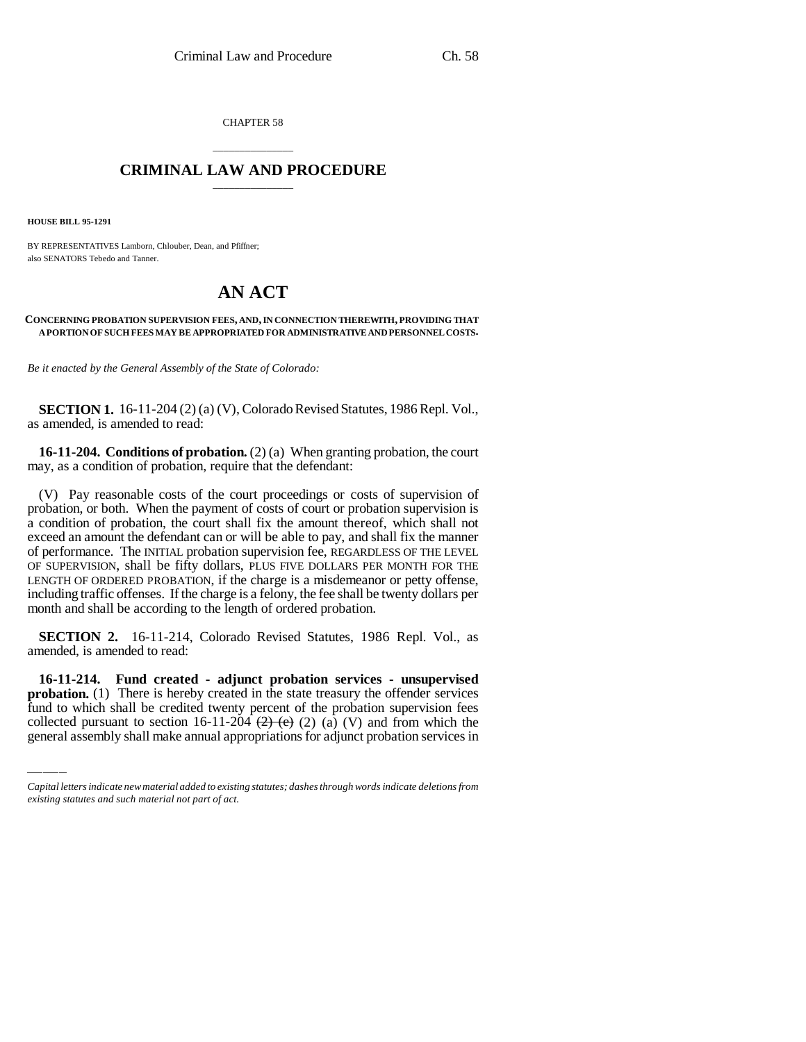CHAPTER 58

## \_\_\_\_\_\_\_\_\_\_\_\_\_\_\_ **CRIMINAL LAW AND PROCEDURE** \_\_\_\_\_\_\_\_\_\_\_\_\_\_\_

**HOUSE BILL 95-1291**

BY REPRESENTATIVES Lamborn, Chlouber, Dean, and Pfiffner; also SENATORS Tebedo and Tanner.

## **AN ACT**

## **CONCERNING PROBATION SUPERVISION FEES, AND, IN CONNECTION THEREWITH, PROVIDING THAT A PORTION OF SUCH FEES MAY BE APPROPRIATED FOR ADMINISTRATIVE AND PERSONNEL COSTS.**

*Be it enacted by the General Assembly of the State of Colorado:*

**SECTION 1.** 16-11-204 (2) (a) (V), Colorado Revised Statutes, 1986 Repl. Vol., as amended, is amended to read:

**16-11-204. Conditions of probation.** (2) (a) When granting probation, the court may, as a condition of probation, require that the defendant:

(V) Pay reasonable costs of the court proceedings or costs of supervision of probation, or both. When the payment of costs of court or probation supervision is a condition of probation, the court shall fix the amount thereof, which shall not exceed an amount the defendant can or will be able to pay, and shall fix the manner of performance. The INITIAL probation supervision fee, REGARDLESS OF THE LEVEL OF SUPERVISION, shall be fifty dollars, PLUS FIVE DOLLARS PER MONTH FOR THE LENGTH OF ORDERED PROBATION, if the charge is a misdemeanor or petty offense, including traffic offenses. If the charge is a felony, the fee shall be twenty dollars per month and shall be according to the length of ordered probation.

**SECTION 2.** 16-11-214, Colorado Revised Statutes, 1986 Repl. Vol., as amended, is amended to read:

 **16-11-214. Fund created - adjunct probation services - unsupervised probation.** (1) There is hereby created in the state treasury the offender services fund to which shall be credited twenty percent of the probation supervision fees collected pursuant to section 16-11-204  $(2)$   $(2)$   $(2)$   $(3)$   $(V)$  and from which the general assembly shall make annual appropriations for adjunct probation services in

*Capital letters indicate new material added to existing statutes; dashes through words indicate deletions from existing statutes and such material not part of act.*